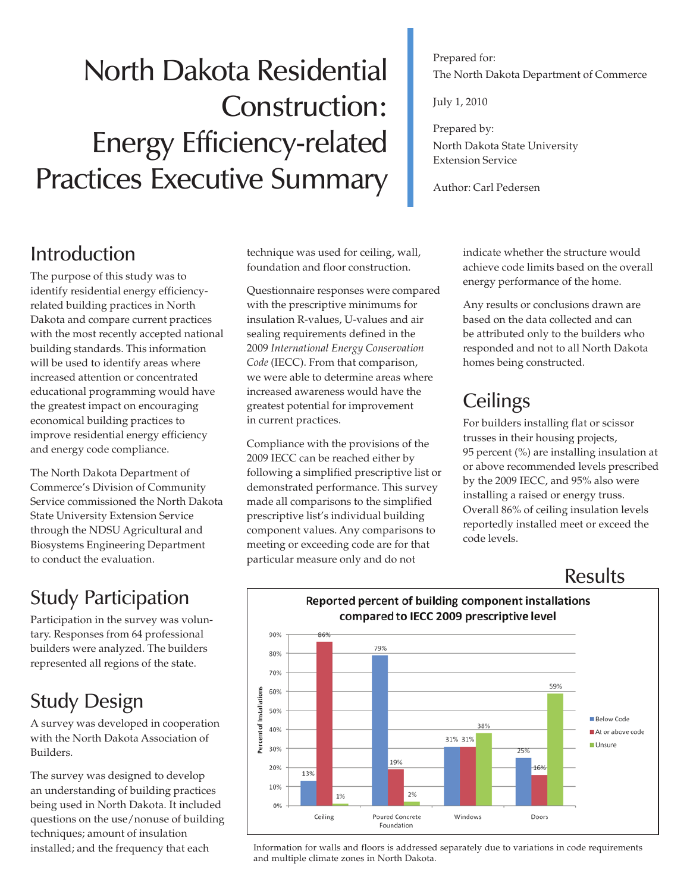# North Dakota Residential Construction: Energy Efficiency-related Practices Executive Summary

#### Prepared for: The North Dakota Department of Commerce

July 1, 2010

Prepared by: North Dakota State University Extension Service

Author: Carl Pedersen

### Introduction

The purpose of this study was to identify residential energy efficiencyrelated building practices in North Dakota and compare current practices with the most recently accepted national building standards. This information will be used to identify areas where increased attention or concentrated educational programming would have the greatest impact on encouraging economical building practices to improve residential energy efficiency and energy code compliance.

The North Dakota Department of Commerce's Division of Community Service commissioned the North Dakota State University Extension Service through the NDSU Agricultural and Biosystems Engineering Department to conduct the evaluation.

# Study Participation

Participation in the survey was voluntary. Responses from 64 professional builders were analyzed. The builders represented all regions of the state.

# Study Design

A survey was developed in cooperation with the North Dakota Association of Builders.

The survey was designed to develop an understanding of building practices being used in North Dakota. It included questions on the use/nonuse of building techniques; amount of insulation installed; and the frequency that each

technique was used for ceiling, wall, foundation and floor construction.

Questionnaire responses were compared with the prescriptive minimums for insulation R-values, U-values and air sealing requirements defined in the 2009 *International Energy Conservation Code* (IECC). From that comparison, we were able to determine areas where increased awareness would have the greatest potential for improvement in current practices.

Compliance with the provisions of the 2009 IECC can be reached either by following a simplified prescriptive list or demonstrated performance. This survey made all comparisons to the simplified prescriptive list's individual building component values. Any comparisons to meeting or exceeding code are for that particular measure only and do not

indicate whether the structure would achieve code limits based on the overall energy performance of the home.

Any results or conclusions drawn are based on the data collected and can be attributed only to the builders who responded and not to all North Dakota homes being constructed.

# **Ceilings**

For builders installing flat or scissor trusses in their housing projects, 95 percent (%) are installing insulation at or above recommended levels prescribed by the 2009 IECC, and 95% also were installing a raised or energy truss. Overall 86% of ceiling insulation levels reportedly installed meet or exceed the code levels.

#### Results



#### Reported percent of building component installations compared to IECC 2009 prescriptive level

Information for walls and floors is addressed separately due to variations in code requirements and multiple climate zones in North Dakota.